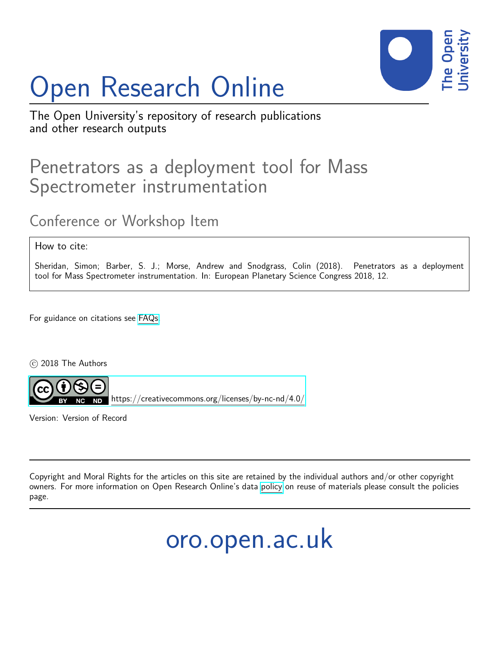# Open Research Online



The Open University's repository of research publications and other research outputs

## Penetrators as a deployment tool for Mass Spectrometer instrumentation

## Conference or Workshop Item

How to cite:

Sheridan, Simon; Barber, S. J.; Morse, Andrew and Snodgrass, Colin (2018). Penetrators as a deployment tool for Mass Spectrometer instrumentation. In: European Planetary Science Congress 2018, 12.

For guidance on citations see [FAQs.](http://oro.open.ac.uk/help/helpfaq.html)

c 2018 The Authors



Version: Version of Record

Copyright and Moral Rights for the articles on this site are retained by the individual authors and/or other copyright owners. For more information on Open Research Online's data [policy](http://oro.open.ac.uk/policies.html) on reuse of materials please consult the policies page.

## oro.open.ac.uk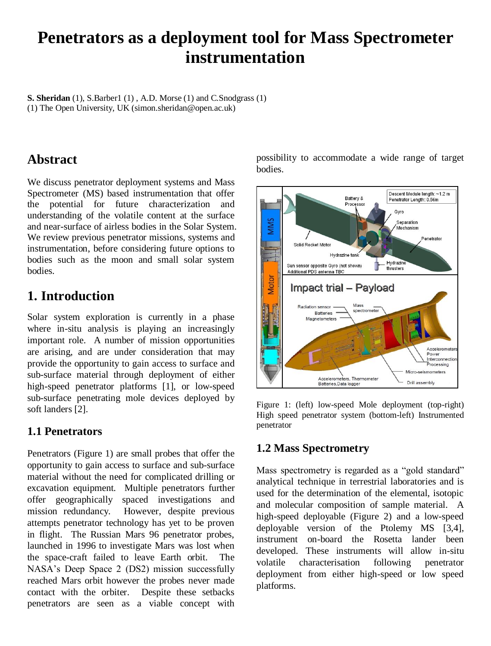### **Penetrators as a deployment tool for Mass Spectrometer instrumentation**

**S. Sheridan** (1), S.Barber1 (1) , A.D. Morse (1) and C.Snodgrass (1) (1) The Open University, UK (simon.sheridan@open.ac.uk)

#### **Abstract**

We discuss penetrator deployment systems and Mass Spectrometer (MS) based instrumentation that offer the potential for future characterization and understanding of the volatile content at the surface and near-surface of airless bodies in the Solar System. We review previous penetrator missions, systems and instrumentation, before considering future options to bodies such as the moon and small solar system bodies.

#### **1. Introduction**

Solar system exploration is currently in a phase where in-situ analysis is playing an increasingly important role. A number of mission opportunities are arising, and are under consideration that may provide the opportunity to gain access to surface and sub-surface material through deployment of either high-speed penetrator platforms [1], or low-speed sub-surface penetrating mole devices deployed by soft landers [2].

#### **1.1 Penetrators**

Penetrators (Figure 1) are small probes that offer the opportunity to gain access to surface and sub-surface material without the need for complicated drilling or excavation equipment. Multiple penetrators further offer geographically spaced investigations and mission redundancy. However, despite previous attempts penetrator technology has yet to be proven in flight. The Russian Mars 96 penetrator probes, launched in 1996 to investigate Mars was lost when the space-craft failed to leave Earth orbit. The NASA's Deep Space 2 (DS2) mission successfully reached Mars orbit however the probes never made contact with the orbiter. Despite these setbacks penetrators are seen as a viable concept with

possibility to accommodate a wide range of target bodies.



Figure 1: (left) low-speed Mole deployment (top-right) High speed penetrator system (bottom-left) Instrumented penetrator

#### **1.2 Mass Spectrometry**

Mass spectrometry is regarded as a "gold standard" analytical technique in terrestrial laboratories and is used for the determination of the elemental, isotopic and molecular composition of sample material. A high-speed deployable (Figure 2) and a low-speed deployable version of the Ptolemy MS [3,4], instrument on-board the Rosetta lander been developed. These instruments will allow in-situ volatile characterisation following penetrator deployment from either high-speed or low speed platforms.